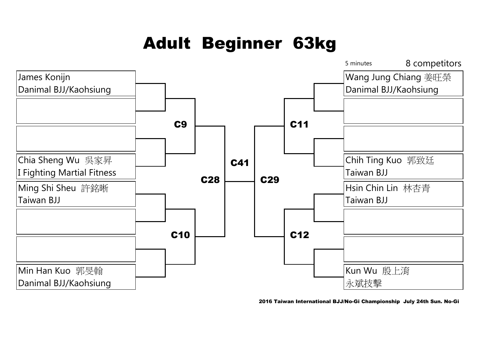# Adult Beginner 63kg



2016 Taiwan International BJJ/No-Gi Championship July 24th Sun. No-Gi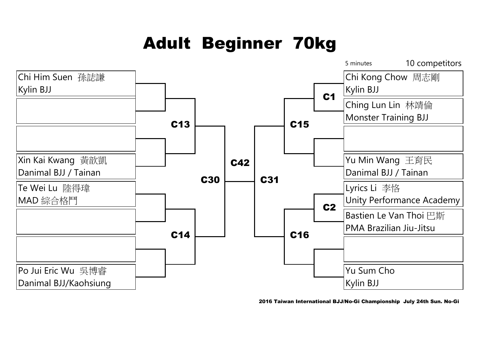## Adult Beginner 70kg



2016 Taiwan International BJJ/No-Gi Championship July 24th Sun. No-Gi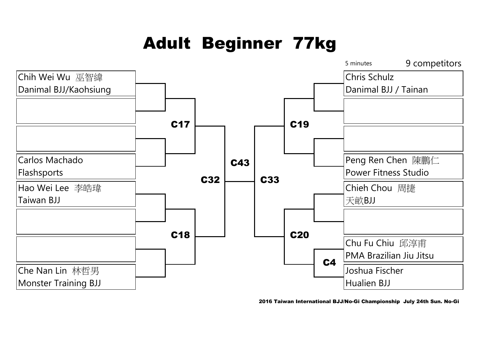# Adult Beginner 77kg



2016 Taiwan International BJJ/No-Gi Championship July 24th Sun. No-Gi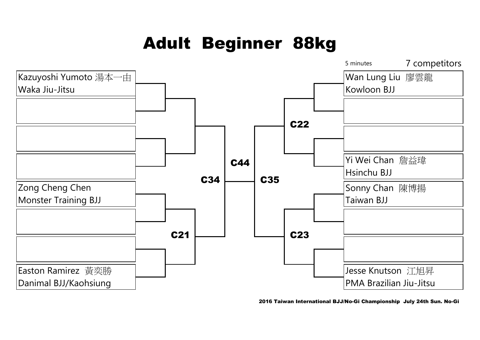## Adult Beginner 88kg



2016 Taiwan International BJJ/No-Gi Championship July 24th Sun. No-Gi